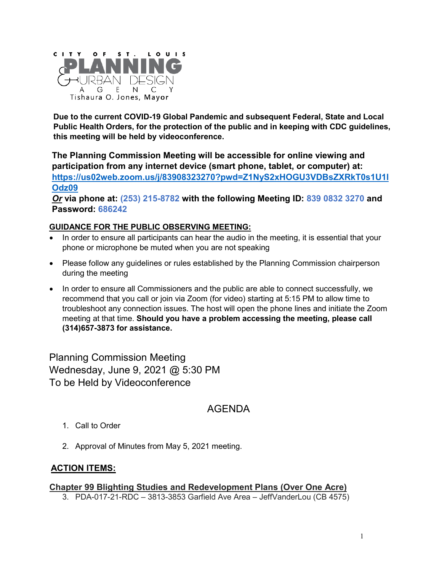

**Due to the current COVID-19 Global Pandemic and subsequent Federal, State and Local Public Health Orders, for the protection of the public and in keeping with CDC guidelines, this meeting will be held by videoconference.**

**The Planning Commission Meeting will be accessible for online viewing and participation from any internet device (smart phone, tablet, or computer) at: [https://us02web.zoom.us/j/83908323270?pwd=Z1NyS2xHOGU3VDBsZXRkT0s1U1l](https://us02web.zoom.us/j/83908323270?pwd=Z1NyS2xHOGU3VDBsZXRkT0s1U1lOdz09) [Odz09](https://us02web.zoom.us/j/83908323270?pwd=Z1NyS2xHOGU3VDBsZXRkT0s1U1lOdz09)**

*Or* **via phone at: (253) 215-8782 with the following Meeting ID: 839 0832 3270 and Password: 686242**

#### **GUIDANCE FOR THE PUBLIC OBSERVING MEETING:**

- In order to ensure all participants can hear the audio in the meeting, it is essential that your phone or microphone be muted when you are not speaking
- Please follow any guidelines or rules established by the Planning Commission chairperson during the meeting
- In order to ensure all Commissioners and the public are able to connect successfully, we recommend that you call or join via Zoom (for video) starting at 5:15 PM to allow time to troubleshoot any connection issues. The host will open the phone lines and initiate the Zoom meeting at that time. **Should you have a problem accessing the meeting, please call (314)657-3873 for assistance.**

Planning Commission Meeting Wednesday, June 9, 2021 @ 5:30 PM To be Held by Videoconference

# AGENDA

- 1. Call to Order
- 2. Approval of Minutes from May 5, 2021 meeting.

# **ACTION ITEMS:**

# **Chapter 99 Blighting Studies and Redevelopment Plans (Over One Acre)**

3. PDA-017-21-RDC – 3813-3853 Garfield Ave Area – JeffVanderLou (CB 4575)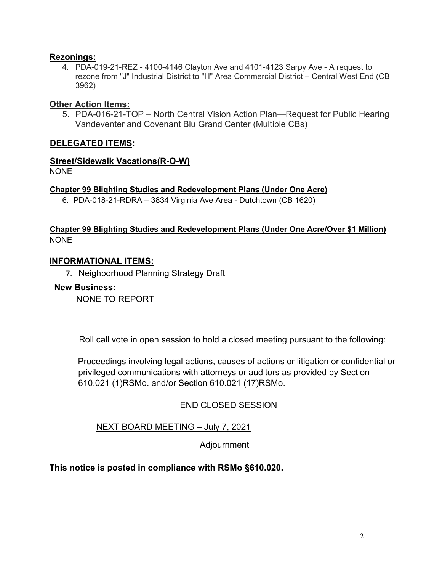#### **Rezonings:**

4. PDA-019-21-REZ - 4100-4146 Clayton Ave and 4101-4123 Sarpy Ave - A request to rezone from "J" Industrial District to "H" Area Commercial District – Central West End (CB 3962)

### **Other Action Items:**

5. PDA-016-21-TOP – North Central Vision Action Plan—Request for Public Hearing Vandeventer and Covenant Blu Grand Center (Multiple CBs)

#### **DELEGATED ITEMS:**

# **Street/Sidewalk Vacations(R-O-W)**

NONE

#### **Chapter 99 Blighting Studies and Redevelopment Plans (Under One Acre)**

6. PDA-018-21-RDRA – 3834 Virginia Ave Area - Dutchtown (CB 1620)

#### **Chapter 99 Blighting Studies and Redevelopment Plans (Under One Acre/Over \$1 Million)** NONE

#### **INFORMATIONAL ITEMS:**

7. Neighborhood Planning Strategy Draft

#### **New Business:**

NONE TO REPORT

Roll call vote in open session to hold a closed meeting pursuant to the following:

Proceedings involving legal actions, causes of actions or litigation or confidential or privileged communications with attorneys or auditors as provided by Section 610.021 (1)RSMo. and/or Section 610.021 (17)RSMo.

# END CLOSED SESSION

# NEXT BOARD MEETING – July 7, 2021

Adjournment

# **This notice is posted in compliance with RSMo §610.020.**